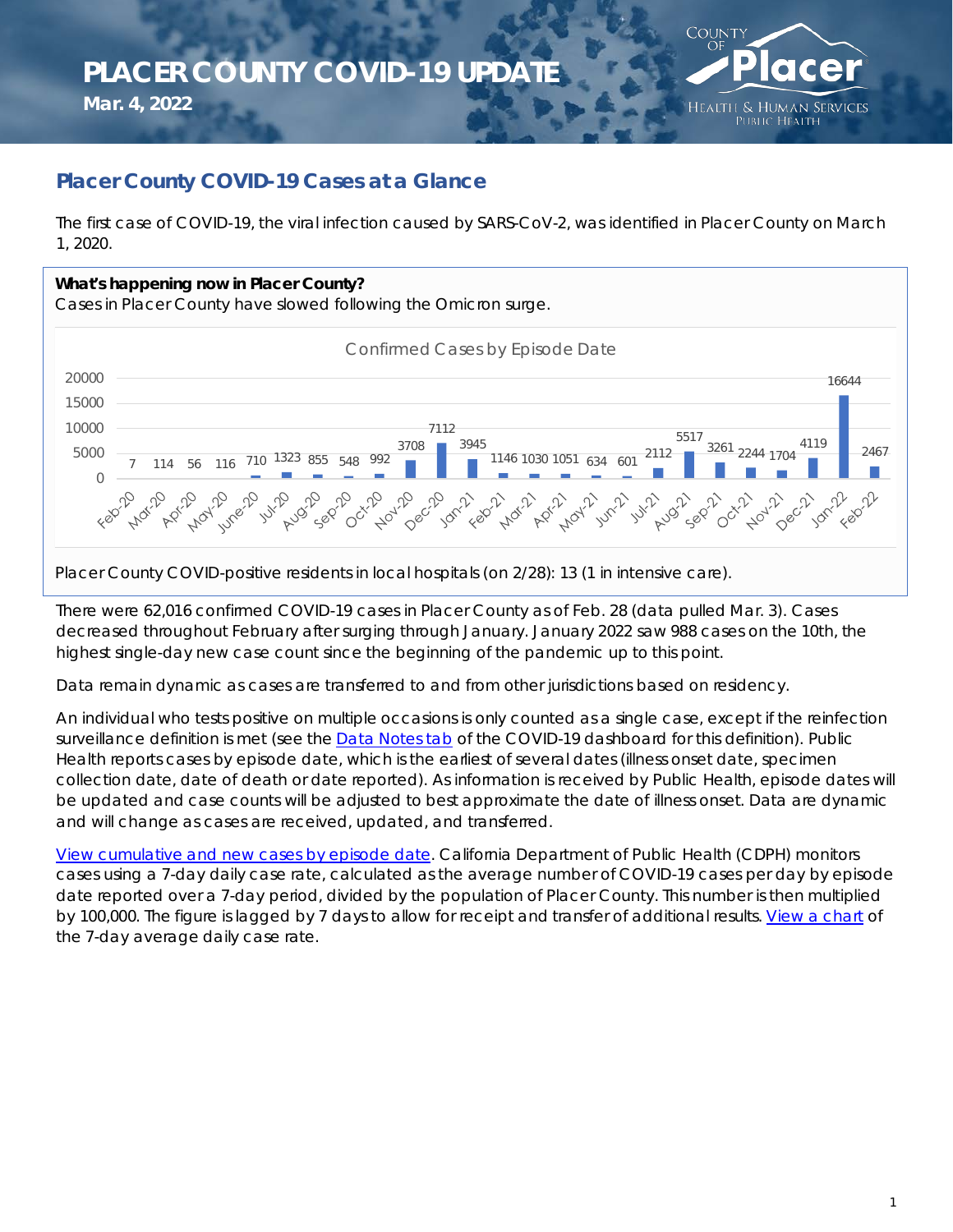**Mar. 4, 2022**



### **Placer County COVID-19 Cases at a Glance**

The first case of COVID-19, the viral infection caused by SARS-CoV-2, was identified in Placer County on March 1, 2020.

#### **What's happening now in Placer County?**

Cases in Placer County have slowed following the Omicron surge.



There were 62,016 confirmed COVID-19 cases in Placer County as of Feb. 28 (data pulled Mar. 3). Cases decreased throughout February after surging through January. January 2022 saw 988 cases on the 10th, the highest single-day new case count since the beginning of the pandemic up to this point.

Data remain dynamic as cases are transferred to and from other jurisdictions based on residency.

An individual who tests positive on multiple occasions is only counted as a single case, except if the reinfection surveillance definition is met (see the [Data Notes tab](https://itwebservices.placer.ca.gov/coviddashboard/#data-notes) of the COVID-19 dashboard for this definition). Public Health reports cases by episode date, which is the earliest of several dates (illness onset date, specimen collection date, date of death or date reported). As information is received by Public Health, episode dates will be updated and case counts will be adjusted to best approximate the date of illness onset. Data are dynamic and will change as cases are received, updated, and transferred.

[View cumulative and new cases by episode date.](https://www.placer.ca.gov/DocumentCenter/View/46267/dashboard?bidId=) California Department of Public Health (CDPH) monitors cases using a 7-day daily case rate, calculated as the average number of COVID-19 cases per day by episode date reported over a 7-day period, divided by the population of Placer County. This number is then multiplied by 100,000. The figure is lagged by 7 days to allow for receipt and transfer of additional results. [View a chart](https://www.placer.ca.gov/DocumentCenter/View/46267/dashboard?bidId=#case-rate-and-testing-data) of the 7-day average daily case rate.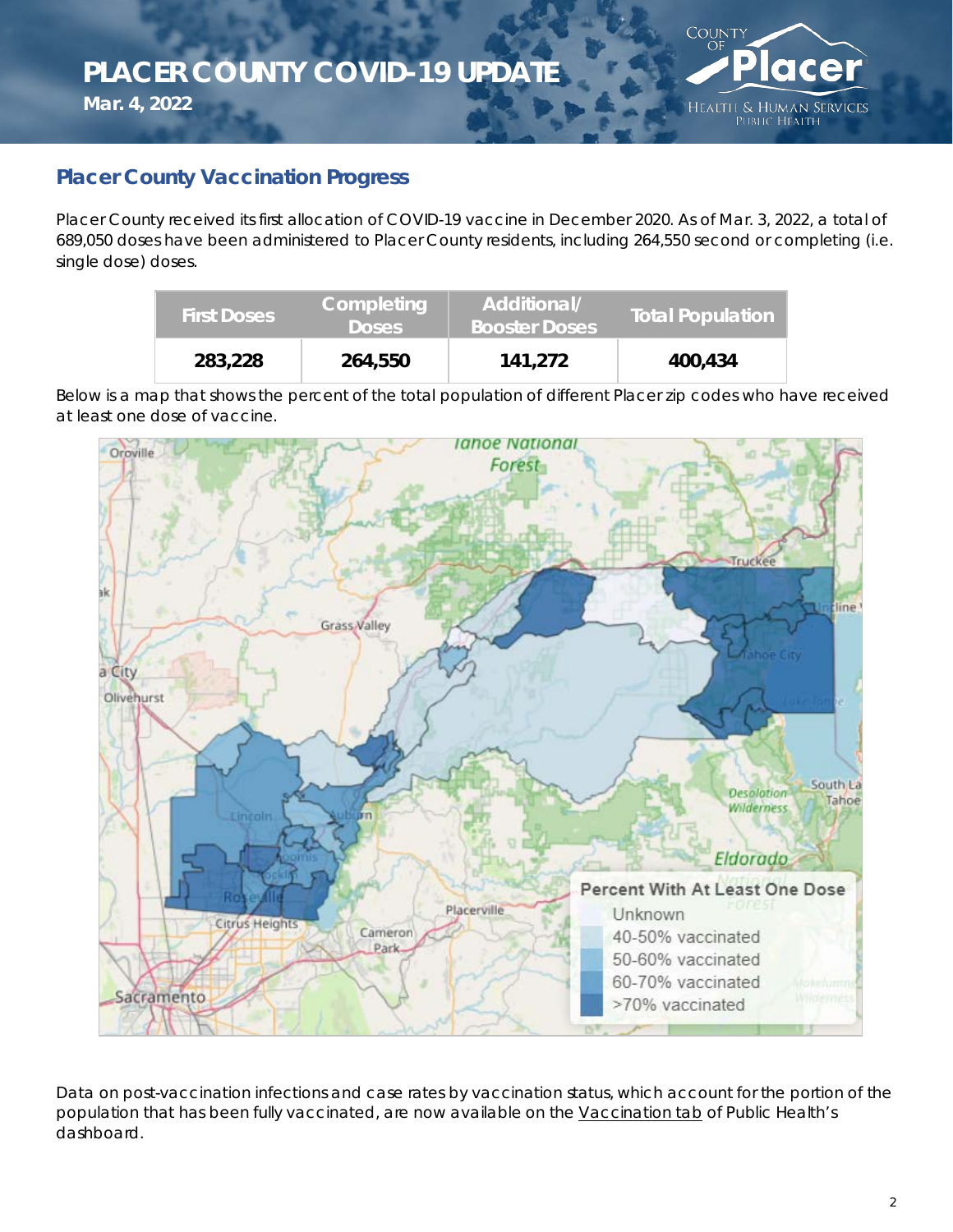**Mar. 4, 2022**



#### **Placer County Vaccination Progress**

Placer County received its first allocation of COVID-19 vaccine in December 2020. As of Mar. 3, 2022, a total of 689,050 doses have been administered to Placer County residents, including 264,550 second or completing (i.e. single dose) doses.

| <b>First Doses</b> | <b>Completing</b><br><b>Doses</b> | Additional/<br><b>Booster Doses</b> | <b>Total Population</b> |  |  |
|--------------------|-----------------------------------|-------------------------------------|-------------------------|--|--|
| 283,228            | 264,550                           | 141,272                             | 400,434                 |  |  |

Below is a map that shows the percent of the total population of different Placer zip codes who have received at least one dose of vaccine.



Data on post-vaccination infections and case rates by vaccination status, which account for the portion of the population that has been fully vaccinated, are now available on th[e Vaccination tab](https://www.placer.ca.gov/DocumentCenter/View/46267/dashboard?bidId=#vaccinations) of Public Health's dashboard.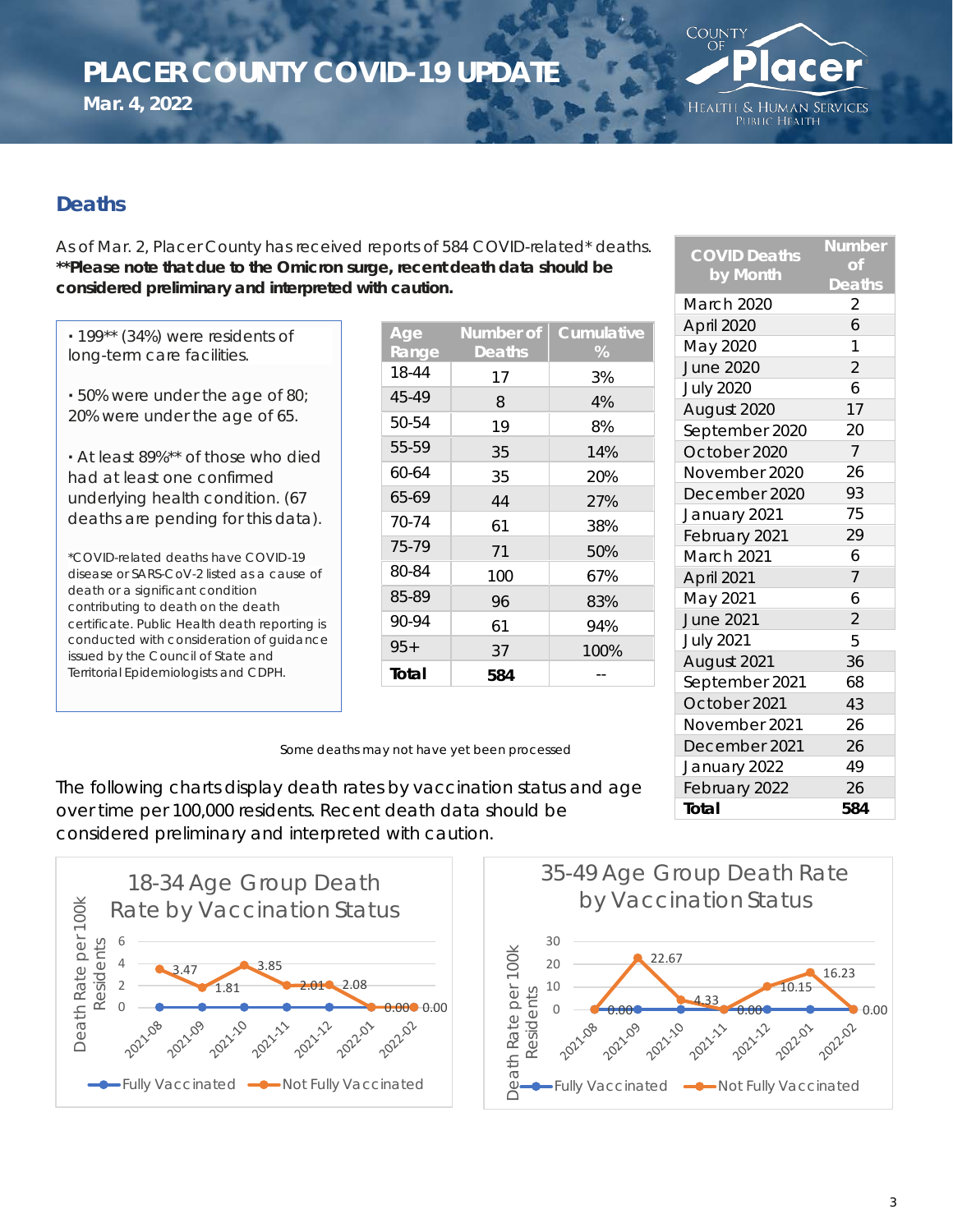**Mar. 4, 2022**



#### **Deaths**

As of Mar. 2, Placer County has received reports of 584 COVID-related\* deaths. **\*\*Please note that due to the Omicron surge, recent death data should be considered preliminary and interpreted with caution.**

**·** 199\*\* (34%) were residents of long-term care facilities.

**·** 50% were under the age of 80; 20% were under the age of 65.

**·** At least 89%\*\* of those who died had at least one confirmed underlying health condition. (67 deaths are pending for this data).

\*COVID-related deaths have COVID-19 disease or SARS-CoV-2 listed as a cause of death or a significant condition contributing to death on the death certificate. Public Health death reporting is conducted with consideration of guidance issued by the Council of State and Territorial Epidemiologists and CDPH.

| Age<br>Range | <b>Number of</b><br><b>Deaths</b> | Cumulative<br>% |
|--------------|-----------------------------------|-----------------|
| 18-44        | 17                                | 3%              |
| 45-49        | 8                                 | $4\%$           |
| 50-54        | 19                                | 8%              |
| 55-59        | 35                                | 14%             |
| $60 - 64$    | 35                                | 20%             |
| 65-69        | 44                                | 27%             |
| 70-74        | 61                                | 38%             |
| 75-79        | 71                                | 50%             |
| 80-84        | 100                               | 67%             |
| 85-89        | 96                                | 83%             |
| $90 - 94$    | 61                                | 94%             |
| $95+$        | 37                                | 100%            |
| Total        | 584                               |                 |

| <b>COVID Deaths</b><br>by Month | <b>Number</b><br>$\overline{of}$ |
|---------------------------------|----------------------------------|
| March 2020                      | <b>Deaths</b><br>2               |
| April 2020                      | 6                                |
| May 2020                        | 1                                |
| <b>June 2020</b>                | $\overline{2}$                   |
| <b>July 2020</b>                | 6                                |
| August 2020                     | 17                               |
| September 2020                  | 20                               |
| October 2020                    | $\overline{7}$                   |
| November 2020                   | 26                               |
| December 2020                   | 93                               |
| January 2021                    | 75                               |
| February 2021                   | 29                               |
| March 2021                      | 6                                |
| April 2021                      | $\overline{7}$                   |
| May 2021                        | 6                                |
| June 2021                       | $\overline{2}$                   |
| <b>July 2021</b>                | 5                                |
| August 2021                     | 36                               |
| September 2021                  | 68                               |
| October 2021                    | 43                               |
| November 2021                   | 26                               |
| December 2021                   | 26                               |
| January 2022                    | 49                               |
| February 2022                   | 26                               |
| Total                           | 584                              |

Some deaths may not have yet been processed

The following charts display death rates by vaccination status and age over time per 100,000 residents. Recent death data should be considered preliminary and interpreted with caution.



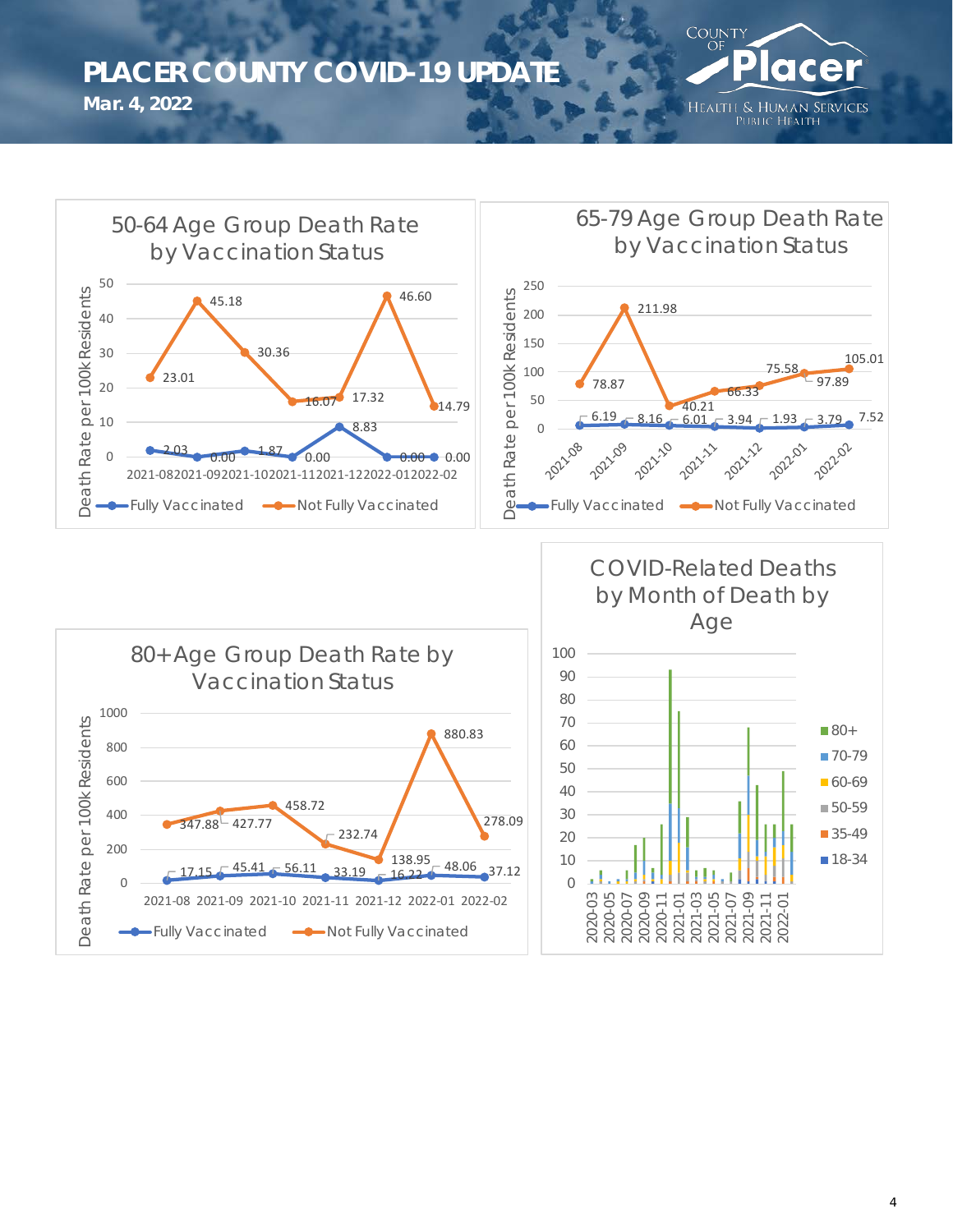**Mar. 4, 2022**



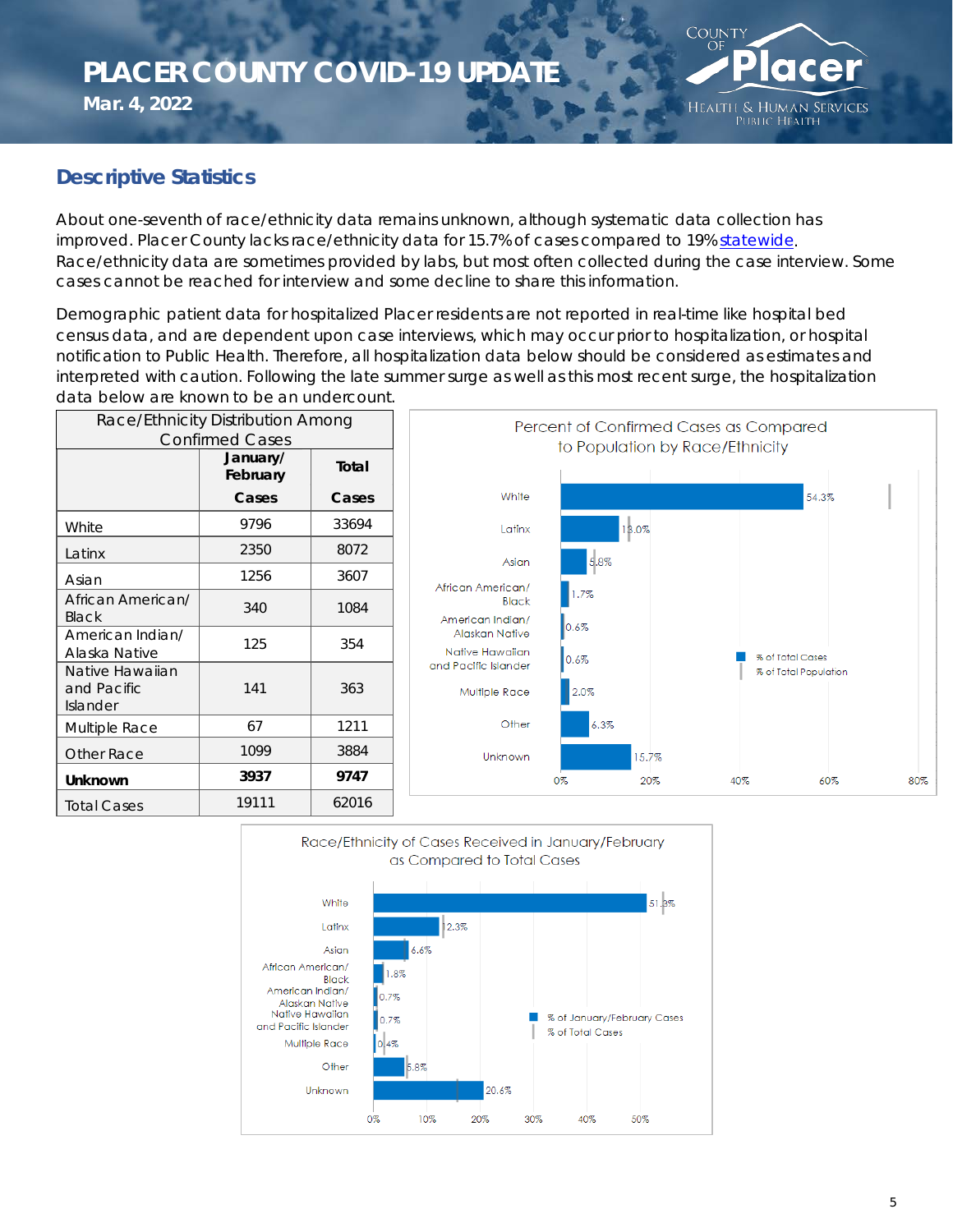**Mar. 4, 2022**



### **Descriptive Statistics**

About one-seventh of race/ethnicity data remains unknown, although systematic data collection has improved. Placer County lacks race/ethnicity data for 15.7% of cases compared to 19% [statewide.](https://www.cdph.ca.gov/Programs/CID/DCDC/Pages/COVID-19/Race-Ethnicity.aspx) Race/ethnicity data are sometimes provided by labs, but most often collected during the case interview. Some cases cannot be reached for interview and some decline to share this information.

Demographic patient data for hospitalized Placer residents are not reported in real-time like hospital bed census data, and are dependent upon case interviews, which may occur prior to hospitalization, or hospital notification to Public Health. Therefore, all hospitalization data below should be considered as estimates and interpreted with caution. Following the late summer surge as well as this most recent surge, the hospitalization data below are known to be an undercount.

| Race/Ethnicity Distribution Among          |                      |       |  |  |  |
|--------------------------------------------|----------------------|-------|--|--|--|
| <b>Confirmed Cases</b>                     |                      |       |  |  |  |
|                                            | January/<br>February | Total |  |  |  |
|                                            | Cases                | Cases |  |  |  |
| White                                      | 9796                 | 33694 |  |  |  |
| Latinx                                     | 2350                 | 8072  |  |  |  |
| Asian                                      | 1256                 | 3607  |  |  |  |
| African American/<br>Black                 | 340                  | 1084  |  |  |  |
| American Indian/<br>Alaska Native          | 125                  | 354   |  |  |  |
| Native Hawaijan<br>and Pacific<br>Islander | 141                  | 363   |  |  |  |
| Multiple Race                              | 67                   | 1211  |  |  |  |
| Other Race                                 | 1099                 | 3884  |  |  |  |
| <b>Unknown</b>                             | 3937                 | 9747  |  |  |  |
| <b>Total Cases</b>                         | 19111                | 62016 |  |  |  |
|                                            |                      |       |  |  |  |



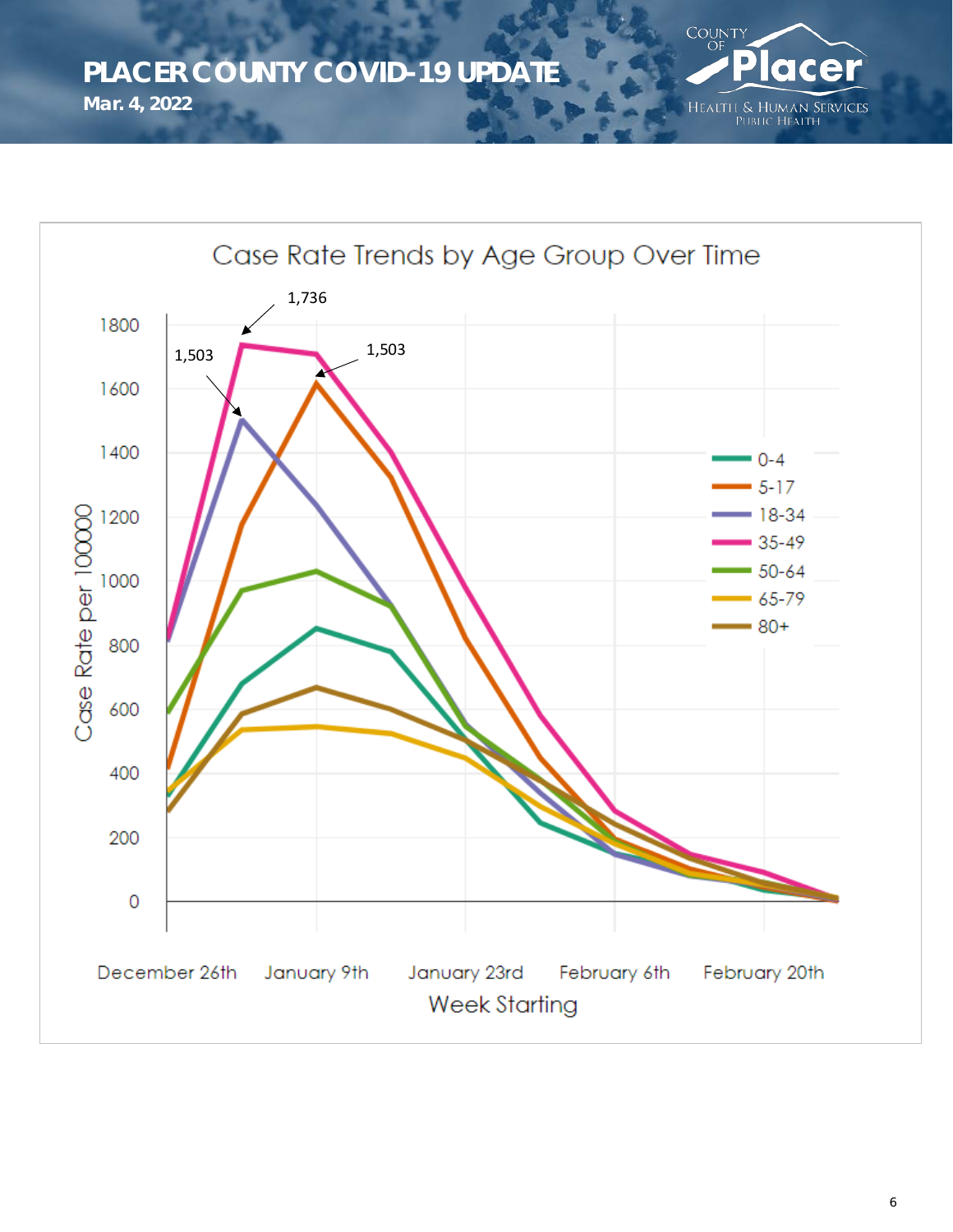**Mar. 4, 2022**



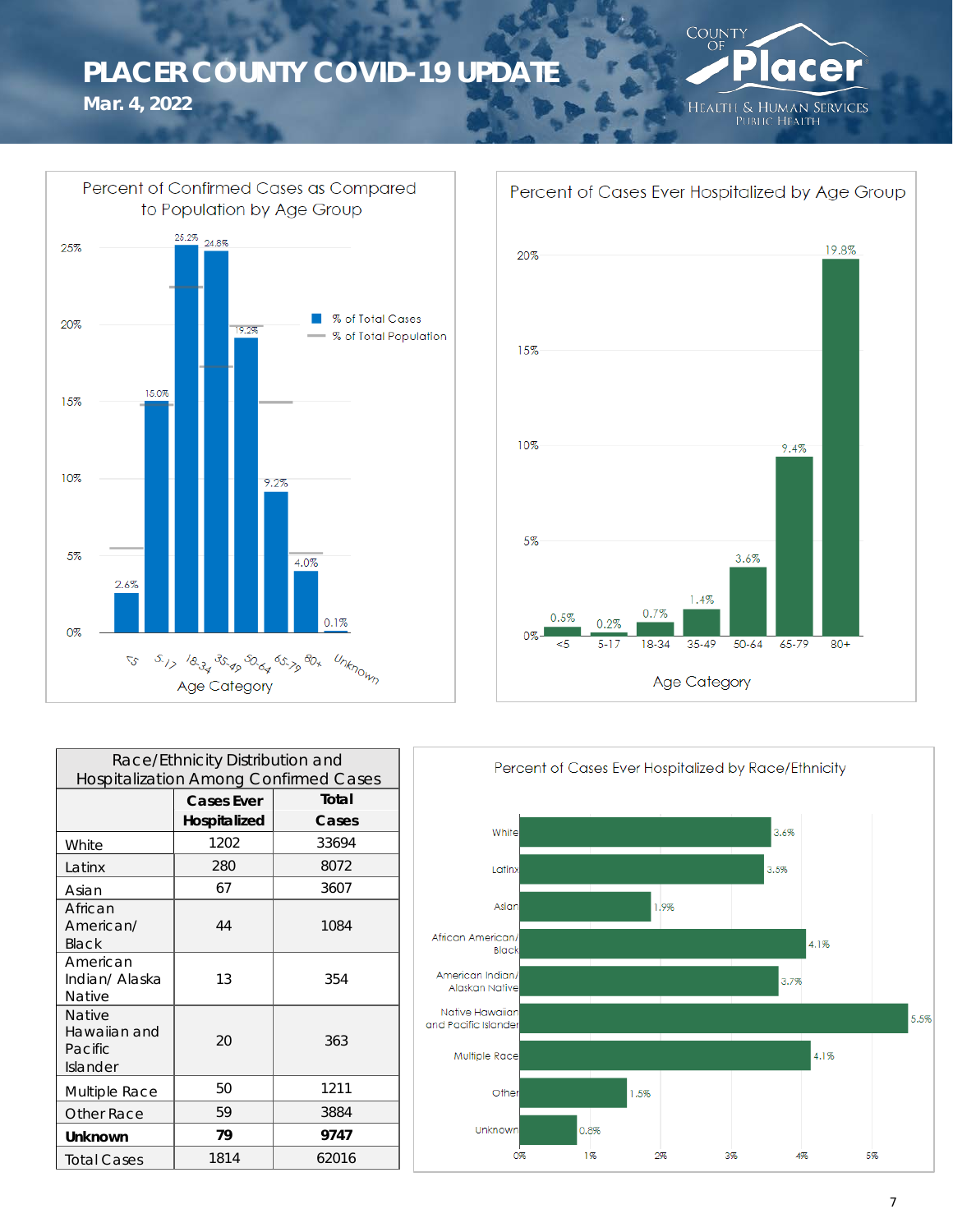**Mar. 4, 2022**





| 0%                                                   | 55 512 18.34 35.49 50.64 55.79 80x<br><b>Age Category</b> | 0.1%<br>Unknown                              | O'                                                       |
|------------------------------------------------------|-----------------------------------------------------------|----------------------------------------------|----------------------------------------------------------|
|                                                      |                                                           |                                              |                                                          |
|                                                      | Race/Ethnicity Distribution and                           | <b>Hospitalization Among Confirmed Cases</b> | Perce                                                    |
|                                                      | <b>Cases Ever</b>                                         | Total                                        |                                                          |
|                                                      | Hospitalized                                              | Cases                                        | White                                                    |
| White                                                | 1202                                                      | 33694                                        |                                                          |
| Latinx                                               | 280                                                       | 8072                                         | Latinx                                                   |
| Asian                                                | 67                                                        | 3607                                         |                                                          |
| African<br>American/<br><b>Black</b>                 | 44                                                        | 1084                                         | Asian<br>African American/<br>Black                      |
| American<br>Indian/Alaska<br><b>Native</b>           | 13                                                        | 354                                          | American Indian/<br>Alaskan Native                       |
| <b>Native</b><br>Hawaiian and<br>Pacific<br>Islander | 20                                                        | 363                                          | Native Hawaiian<br>and Pacific Islander<br>Multiple Race |
| Multiple Race                                        | 50                                                        | 1211                                         | Other                                                    |
| Other Race                                           | 59                                                        | 3884                                         |                                                          |
| Unknown                                              | 79                                                        | 9747                                         | Unknown                                                  |

Total Cases | 1814 | 62016



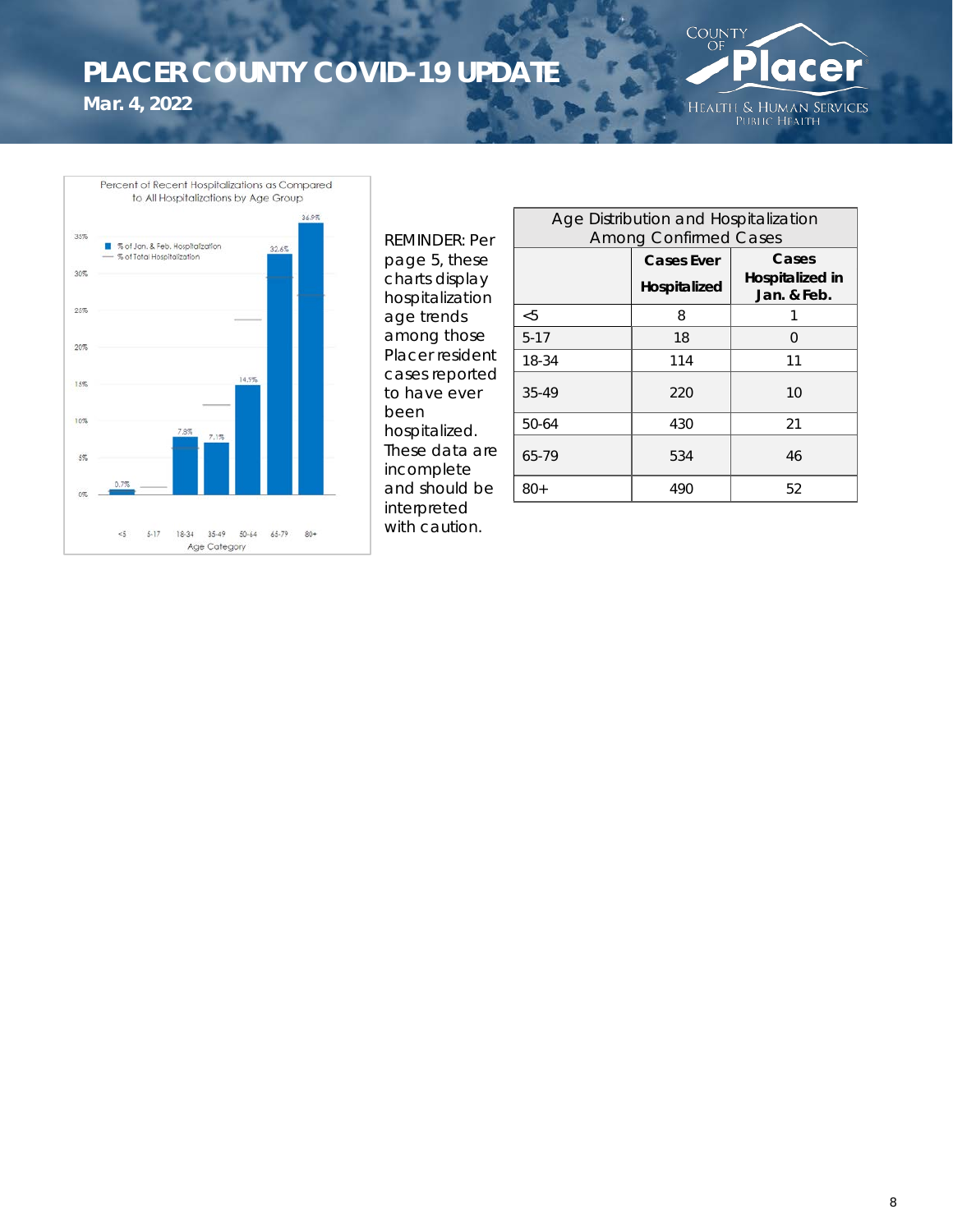**Mar. 4, 2022**





*REMINDER: Per page 5, these charts display hospitalization age trends among those Placer resident cases reported to have ever been hospitalized. These data are incomplete and should be interpreted with caution.*

| Age Distribution and Hospitalization<br><b>Among Confirmed Cases</b> |                   |                                |  |  |  |
|----------------------------------------------------------------------|-------------------|--------------------------------|--|--|--|
|                                                                      | <b>Cases Ever</b> | Cases                          |  |  |  |
|                                                                      | Hospitalized      | Hospitalized in<br>Jan. & Feb. |  |  |  |
| $<$ 5                                                                | 8                 |                                |  |  |  |
| $5 - 17$                                                             | 18                | O                              |  |  |  |
| 18-34                                                                | 114               | 11                             |  |  |  |
| 35-49                                                                | 220               | 10                             |  |  |  |
| 50-64                                                                | 430               | 21                             |  |  |  |
| 65-79                                                                | 534               | 46                             |  |  |  |
| $80+$                                                                | 490               | 52                             |  |  |  |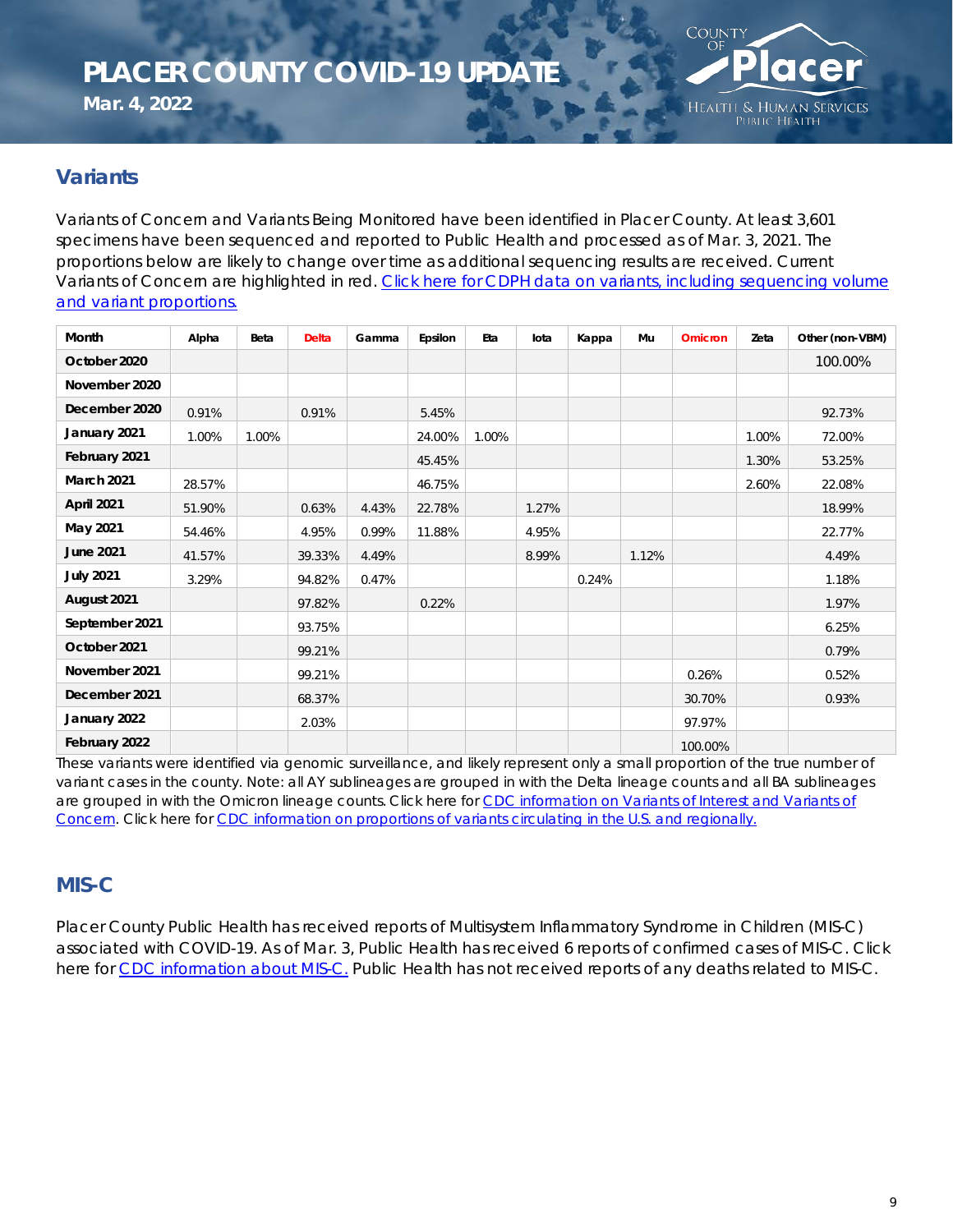**Mar. 4, 2022**



#### **Variants**

Variants of Concern and Variants Being Monitored have been identified in Placer County. At least 3,601 specimens have been sequenced and reported to Public Health and processed as of Mar. 3, 2021. The proportions below are likely to change over time as additional sequencing results are received. Current Variants of Concern are highlighted in red. Click here for CDPH data on variants, including sequencing volume [and variant proportions.](https://www.cdph.ca.gov/Programs/CID/DCDC/Pages/COVID-19/COVID-Variants.aspx)

| Month             | Alpha  | Beta  | <b>Delta</b> | Gamma | Epsilon | Eta   | lota  | Kappa | Mu    | <b>Omicron</b> | Zeta  | Other (non-VBM) |
|-------------------|--------|-------|--------------|-------|---------|-------|-------|-------|-------|----------------|-------|-----------------|
| October 2020      |        |       |              |       |         |       |       |       |       |                |       | 100.00%         |
| November 2020     |        |       |              |       |         |       |       |       |       |                |       |                 |
| December 2020     | 0.91%  |       | 0.91%        |       | 5.45%   |       |       |       |       |                |       | 92.73%          |
| January 2021      | 1.00%  | 1.00% |              |       | 24.00%  | 1.00% |       |       |       |                | 1.00% | 72.00%          |
| February 2021     |        |       |              |       | 45.45%  |       |       |       |       |                | 1.30% | 53.25%          |
| March 2021        | 28.57% |       |              |       | 46.75%  |       |       |       |       |                | 2.60% | 22.08%          |
| <b>April 2021</b> | 51.90% |       | 0.63%        | 4.43% | 22.78%  |       | 1.27% |       |       |                |       | 18.99%          |
| May 2021          | 54.46% |       | 4.95%        | 0.99% | 11.88%  |       | 4.95% |       |       |                |       | 22.77%          |
| <b>June 2021</b>  | 41.57% |       | 39.33%       | 4.49% |         |       | 8.99% |       | 1.12% |                |       | 4.49%           |
| <b>July 2021</b>  | 3.29%  |       | 94.82%       | 0.47% |         |       |       | 0.24% |       |                |       | 1.18%           |
| August 2021       |        |       | 97.82%       |       | 0.22%   |       |       |       |       |                |       | 1.97%           |
| September 2021    |        |       | 93.75%       |       |         |       |       |       |       |                |       | 6.25%           |
| October 2021      |        |       | 99.21%       |       |         |       |       |       |       |                |       | 0.79%           |
| November 2021     |        |       | 99.21%       |       |         |       |       |       |       | 0.26%          |       | 0.52%           |
| December 2021     |        |       | 68.37%       |       |         |       |       |       |       | 30.70%         |       | 0.93%           |
| January 2022      |        |       | 2.03%        |       |         |       |       |       |       | 97.97%         |       |                 |
| February 2022     |        |       |              |       |         |       |       |       |       | 100.00%        |       |                 |

*These variants were identified via genomic surveillance, and likely represent only a small proportion of the true number of variant cases in the county. Note: all AY sublineages are grouped in with the Delta lineage counts and all BA sublineages are grouped in with the Omicron lineage counts. Click here for [CDC information on Variants of Interest and Variants of](https://www.cdc.gov/coronavirus/2019-ncov/cases-updates/variant-surveillance/variant-info.html)  [Concern.](https://www.cdc.gov/coronavirus/2019-ncov/cases-updates/variant-surveillance/variant-info.html) Click here for [CDC information on proportions of variants circulating in the U.S.](https://covid.cdc.gov/covid-data-tracker/?CDC_AA_refVal=https%3A%2F%2Fwww.cdc.gov%2Fcoronavirus%2F2019-ncov%2Fcases-updates%2Fvariant-proportions.html#variant-proportions) and regionally.*

#### **MIS-C**

Placer County Public Health has received reports of Multisystem Inflammatory Syndrome in Children (MIS-C) associated with COVID-19. As of Mar. 3, Public Health has received 6 reports of confirmed cases of MIS-C. Click here for [CDC information about MIS-C.](https://www.cdc.gov/mis/about.html) Public Health has not received reports of any deaths related to MIS-C.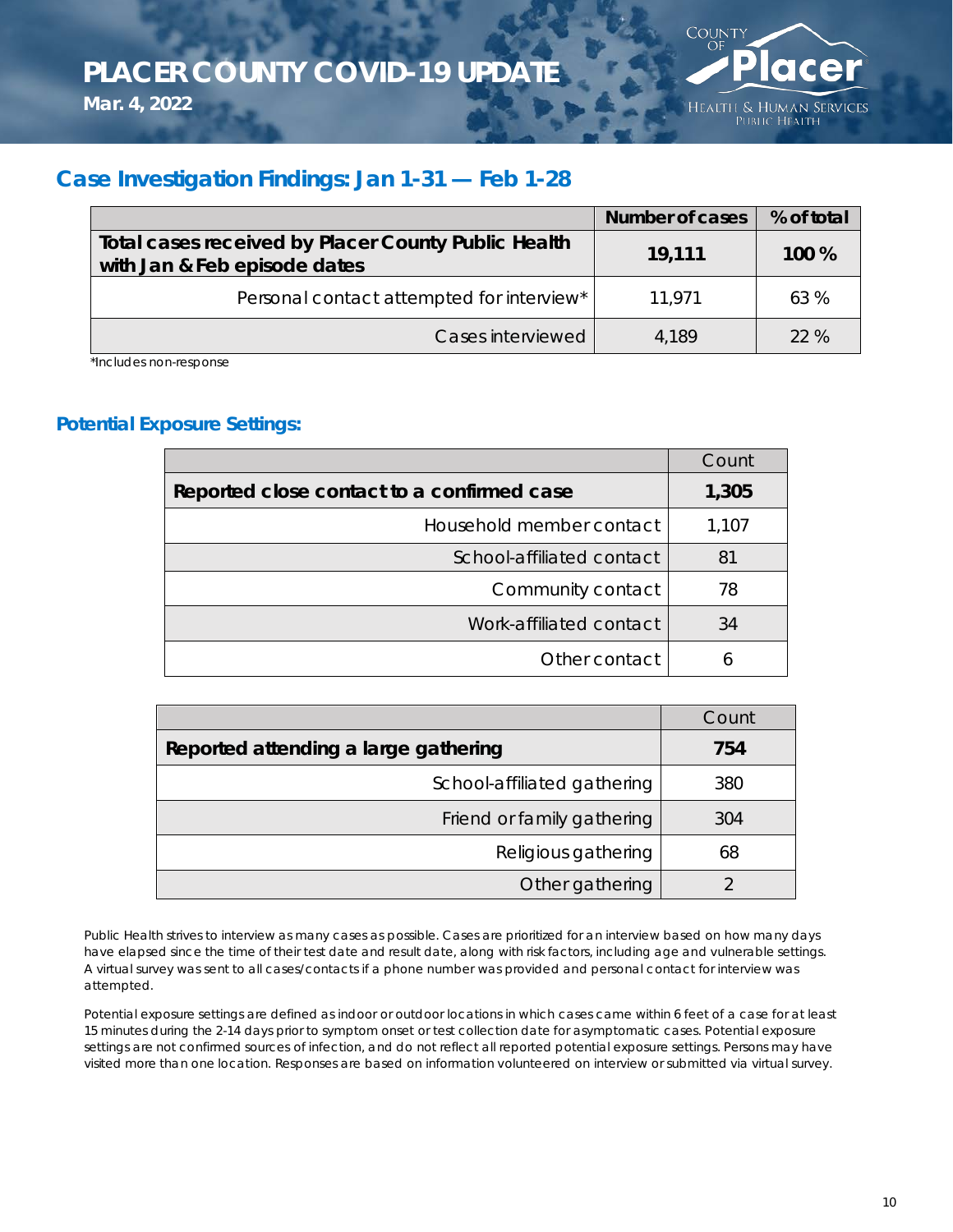**Mar. 4, 2022**



## **Case Investigation Findings: Jan 1-31 — Feb 1-28**

|                                                                                     | <b>Number of cases</b> | % of total |
|-------------------------------------------------------------------------------------|------------------------|------------|
| Total cases received by Placer County Public Health<br>with Jan & Feb episode dates | 19,111                 | 100 %      |
| Personal contact attempted for interview*                                           | 11.971                 | 63%        |
| Cases interviewed                                                                   | 4.189                  | 22%        |

\**Includes non-response*

#### **Potential Exposure Settings:**

|                                            | Count |
|--------------------------------------------|-------|
| Reported close contact to a confirmed case | 1,305 |
| Household member contact                   | 1,107 |
| School-affiliated contact                  | 81    |
| Community contact                          | 78    |
| Work-affiliated contact                    | 34    |
| Other contact                              | h     |

|                                      | Count |
|--------------------------------------|-------|
| Reported attending a large gathering | 754   |
| School-affiliated gathering          | 380   |
| Friend or family gathering           | 304   |
| Religious gathering                  | 68    |
| Other gathering                      |       |

*Public Health strives to interview as many cases as possible. Cases are prioritized for an interview based on how many days have elapsed since the time of their test date and result date, along with risk factors, including age and vulnerable settings. A virtual survey was sent to all cases/contacts if a phone number was provided and personal contact for interview was attempted.*

*Potential exposure settings are defined as indoor or outdoor locations in which cases came within 6 feet of a case for at least 15 minutes during the 2-14 days prior to symptom onset or test collection date for asymptomatic cases. Potential exposure settings are not confirmed sources of infection, and do not reflect all reported potential exposure settings. Persons may have visited more than one location. Responses are based on information volunteered on interview or submitted via virtual survey.*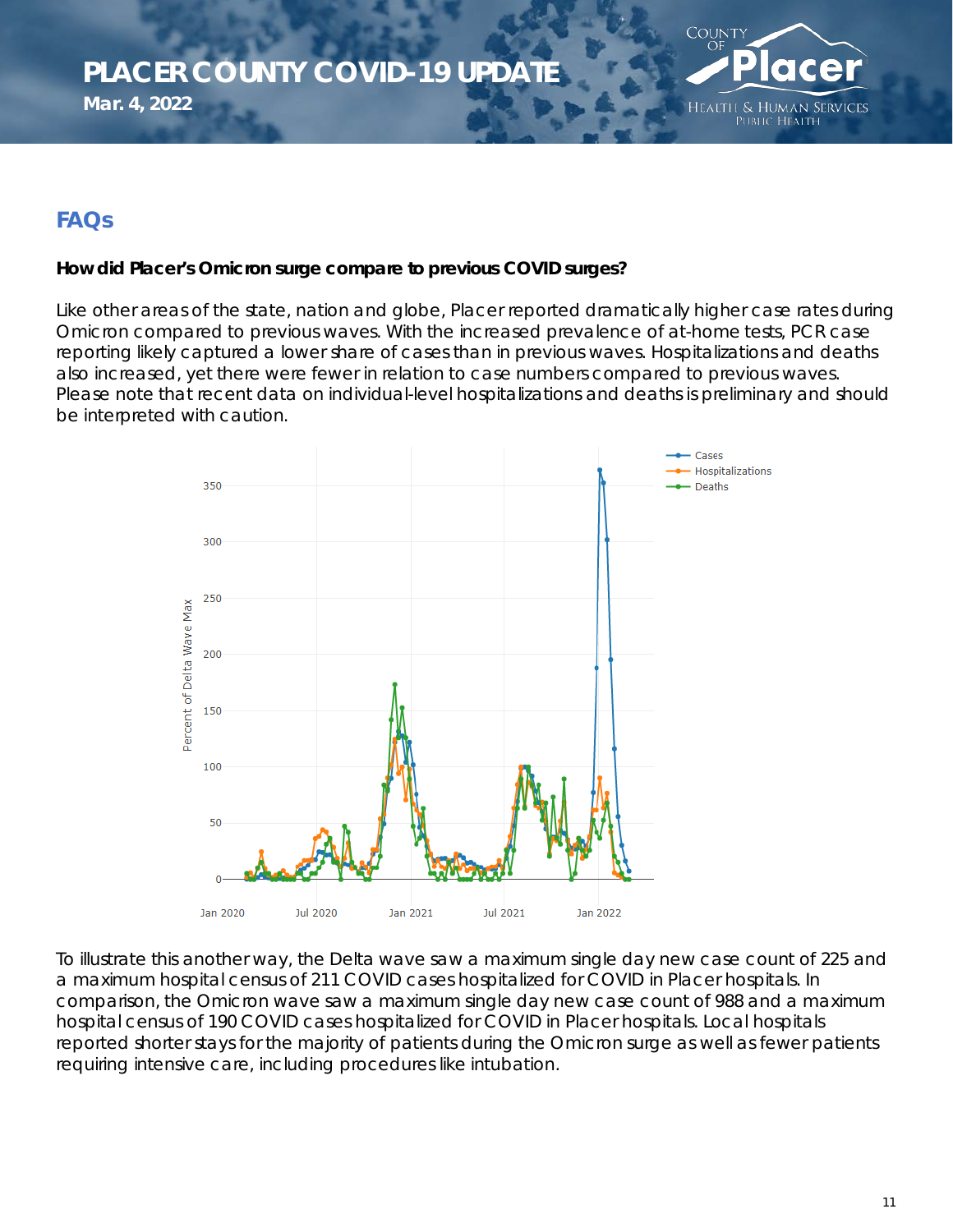**Mar. 4, 2022**



### **FAQs**

#### **How did Placer's Omicron surge compare to previous COVID surges?**

Like other areas of the state, nation and globe, Placer reported dramatically higher case rates during Omicron compared to previous waves. With the increased prevalence of at-home tests, PCR case reporting likely captured a lower share of cases than in previous waves. Hospitalizations and deaths also increased, yet there were fewer in relation to case numbers compared to previous waves. *Please note that recent data on individual-level hospitalizations and deaths is preliminary and should be interpreted with caution.*



To illustrate this another way, the Delta wave saw a maximum single day new case count of 225 and a maximum hospital census of 211 COVID cases hospitalized for COVID in Placer hospitals. In comparison, the Omicron wave saw a maximum single day new case count of 988 and a maximum hospital census of 190 COVID cases hospitalized for COVID in Placer hospitals. Local hospitals reported shorter stays for the majority of patients during the Omicron surge as well as fewer patients requiring intensive care, including procedures like intubation.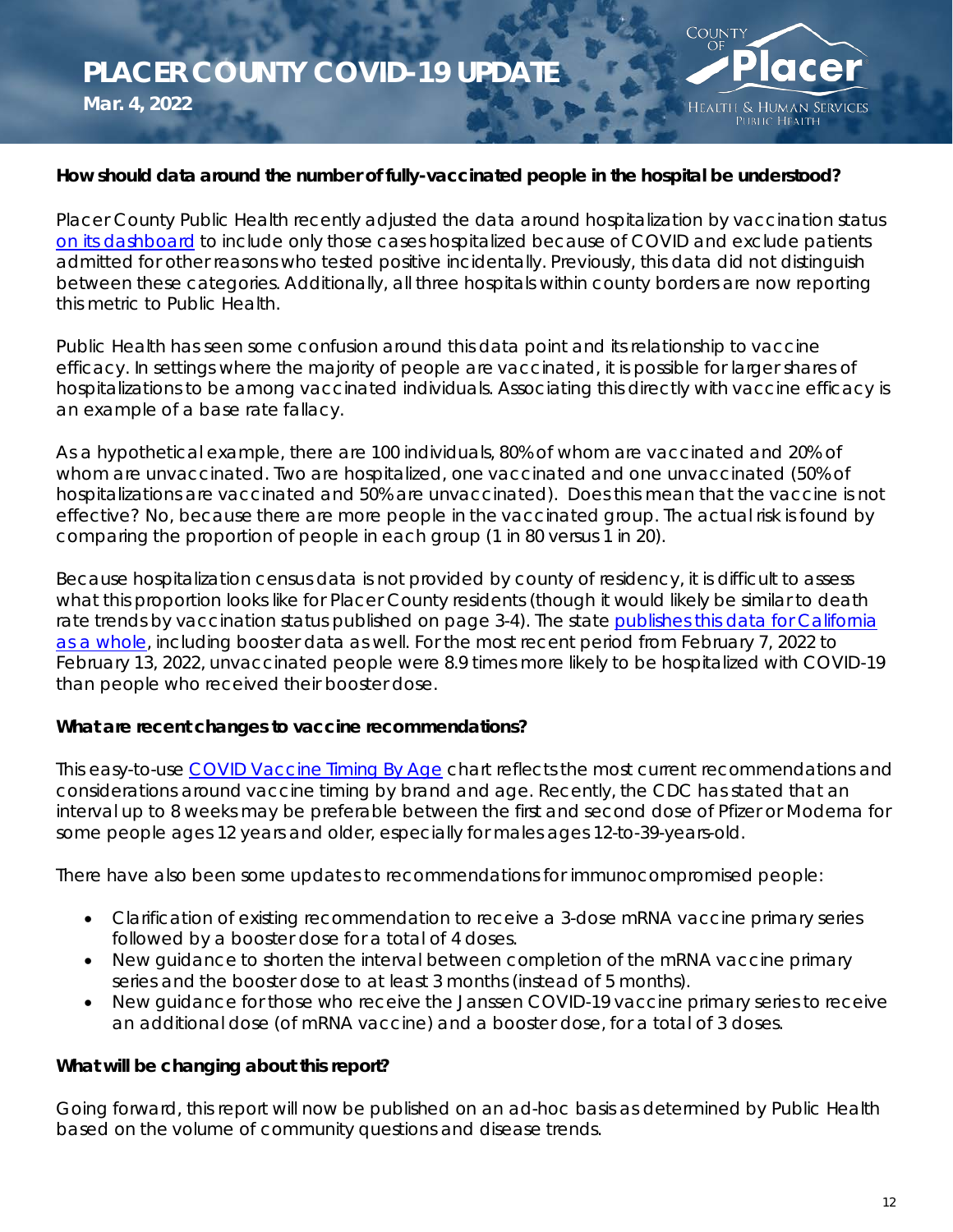**Mar. 4, 2022**



#### **How should data around the number of fully-vaccinated people in the hospital be understood?**

Placer County Public Health recently adjusted the data around hospitalization by vaccination status [on its dashboard](https://itwebservices.placer.ca.gov/coviddashboard/#hospitalizations-and-deaths) to include only those cases hospitalized *because of* COVID and exclude patients admitted for other reasons who tested positive incidentally. Previously, this data did not distinguish between these categories. Additionally, all three hospitals within county borders are now reporting this metric to Public Health.

Public Health has seen some confusion around this data point and its relationship to vaccine efficacy. In settings where the majority of people are vaccinated, it is possible for larger shares of hospitalizations to be among vaccinated individuals. Associating this directly with vaccine efficacy is an example of a base rate fallacy.

As a hypothetical example, there are 100 individuals, 80% of whom are vaccinated and 20% of whom are unvaccinated. Two are hospitalized, one vaccinated and one unvaccinated (50% of hospitalizations are vaccinated and 50% are unvaccinated). Does this mean that the vaccine is not effective? No, because there are more people in the vaccinated group. The actual risk is found by comparing the proportion of people in each group (1 in 80 versus 1 in 20).

Because hospitalization census data is not provided by county of residency, it is difficult to assess what this proportion looks like for Placer County residents (though it would likely be similar to death rate trends by vaccination status published on page 3-4). The state publishes this data for California [as a whole,](https://covid19.ca.gov/state-dashboard/#postvax-status) including booster data as well. For the most recent period from February 7, 2022 to February 13, 2022, unvaccinated people were 8.9 times more likely to be hospitalized with COVID-19 than people who received their booster dose.

#### **What are recent changes to vaccine recommendations?**

This easy-to-use [COVID Vaccine Timing By Age](https://eziz.org/assets/docs/COVID19/IMM-1396.pdf) chart reflects the most current recommendations and considerations around vaccine timing by brand and age. Recently, the CDC has stated that an interval up to 8 weeks may be preferable between the first and second dose of Pfizer or Moderna for some people ages 12 years and older, especially for males ages 12-to-39-years-old.

There have also been some updates to recommendations for immunocompromised people:

- Clarification of existing recommendation to receive a 3-dose mRNA vaccine primary series followed by a booster dose for a total of 4 doses.
- New quidance to shorten the interval between completion of the mRNA vaccine primary series and the booster dose to at least 3 months (instead of 5 months).
- New guidance for those who receive the Janssen COVID-19 vaccine primary series to receive an additional dose (of mRNA vaccine) and a booster dose, for a total of 3 doses.

#### **What will be changing about this report?**

Going forward, this report will now be published on an ad-hoc basis as determined by Public Health based on the volume of community questions and disease trends.